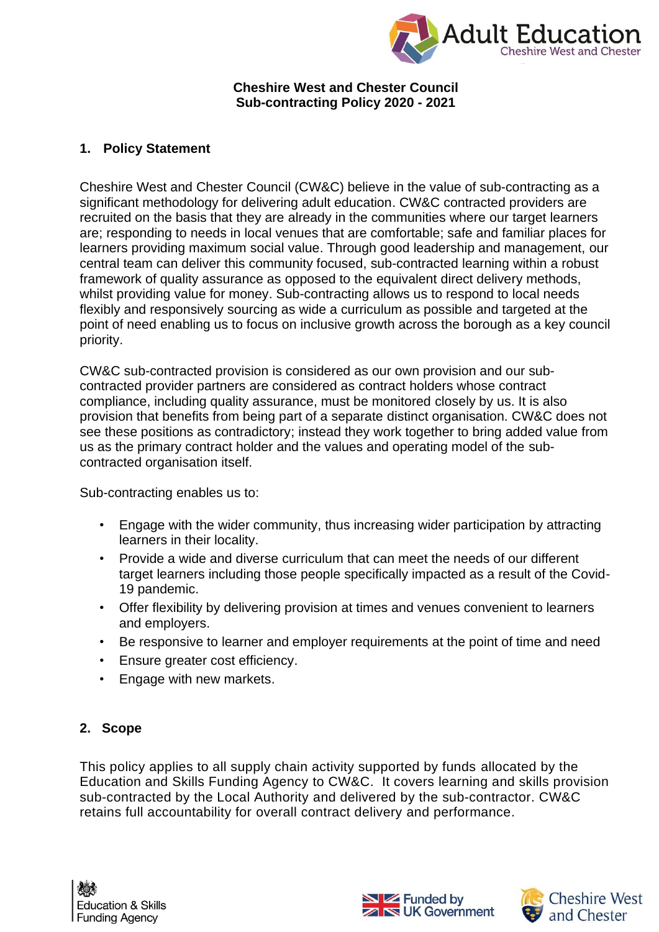

#### **Cheshire West and Chester Council Sub-contracting Policy 2020 - 2021**

### **1. Policy Statement**

Cheshire West and Chester Council (CW&C) believe in the value of sub-contracting as a significant methodology for delivering adult education. CW&C contracted providers are recruited on the basis that they are already in the communities where our target learners are; responding to needs in local venues that are comfortable; safe and familiar places for learners providing maximum social value. Through good leadership and management, our central team can deliver this community focused, sub-contracted learning within a robust framework of quality assurance as opposed to the equivalent direct delivery methods, whilst providing value for money. Sub-contracting allows us to respond to local needs flexibly and responsively sourcing as wide a curriculum as possible and targeted at the point of need enabling us to focus on inclusive growth across the borough as a key council priority.

CW&C sub-contracted provision is considered as our own provision and our subcontracted provider partners are considered as contract holders whose contract compliance, including quality assurance, must be monitored closely by us. It is also provision that benefits from being part of a separate distinct organisation. CW&C does not see these positions as contradictory; instead they work together to bring added value from us as the primary contract holder and the values and operating model of the subcontracted organisation itself.

Sub-contracting enables us to:

- Engage with the wider community, thus increasing wider participation by attracting learners in their locality.
- Provide a wide and diverse curriculum that can meet the needs of our different target learners including those people specifically impacted as a result of the Covid-19 pandemic.
- Offer flexibility by delivering provision at times and venues convenient to learners and employers.
- Be responsive to learner and employer requirements at the point of time and need
- Ensure greater cost efficiency.
- Engage with new markets.

# **2. Scope**

This policy applies to all supply chain activity supported by funds allocated by the Education and Skills Funding Agency to CW&C. It covers learning and skills provision sub-contracted by the Local Authority and delivered by the sub-contractor. CW&C retains full accountability for overall contract delivery and performance.



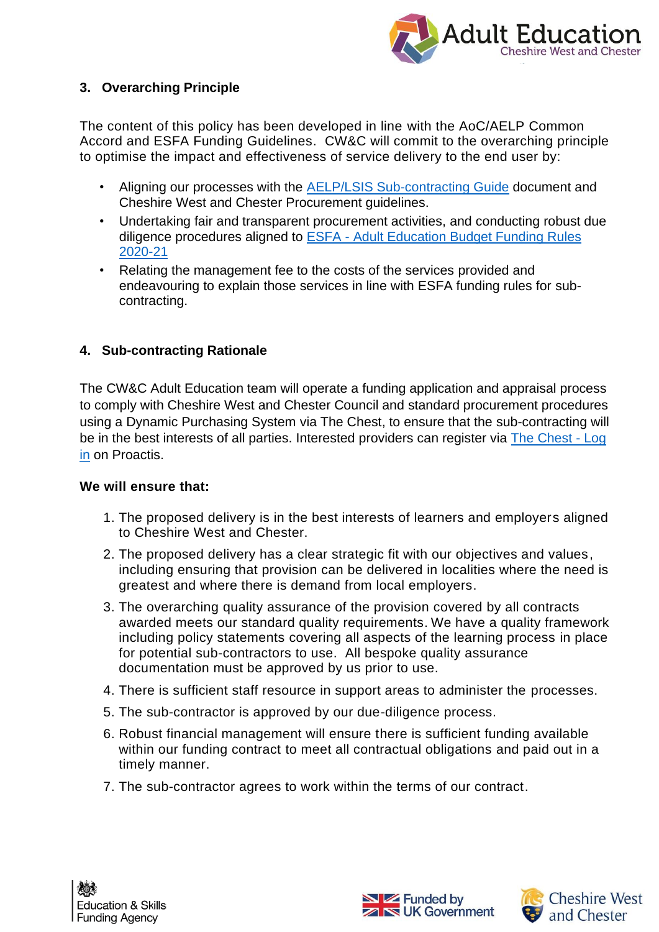

# **3. Overarching Principle**

The content of this policy has been developed in line with the AoC/AELP Common Accord and ESFA Funding Guidelines. CW&C will commit to the overarching principle to optimise the impact and effectiveness of service delivery to the end user by:

- Aligning our processes with the [AELP/LSIS Sub-contracting Guide](https://www.aoc.co.uk/sites/default/files/AoC%20AELP%20LSIS%20Sub%20contracting%20guide%202013.pdf) document and Cheshire West and Chester Procurement guidelines.
- Undertaking fair and transparent procurement activities, and conducting robust due diligence procedures aligned to ESFA - [Adult Education Budget Funding Rules](https://assets.publishing.service.gov.uk/government/uploads/system/uploads/attachment_data/file/904674/AEB_2020_to_2021_funding_rules_v.2_FINAL.pdf)  [2020-21](https://assets.publishing.service.gov.uk/government/uploads/system/uploads/attachment_data/file/904674/AEB_2020_to_2021_funding_rules_v.2_FINAL.pdf)
- Relating the management fee to the costs of the services provided and endeavouring to explain those services in line with ESFA funding rules for subcontracting.

### **4. Sub-contracting Rationale**

The CW&C Adult Education team will operate a funding application and appraisal process to comply with Cheshire West and Chester Council and standard procurement procedures using a Dynamic Purchasing System via The Chest, to ensure that the sub-contracting will be in the best interests of all parties. Interested providers can register via [The Chest -](https://procontract.due-north.com/Login) Log [in](https://procontract.due-north.com/Login) on Proactis.

### **We will ensure that:**

- 1. The proposed delivery is in the best interests of learners and employers aligned to Cheshire West and Chester.
- 2. The proposed delivery has a clear strategic fit with our objectives and values, including ensuring that provision can be delivered in localities where the need is greatest and where there is demand from local employers.
- 3. The overarching quality assurance of the provision covered by all contracts awarded meets our standard quality requirements. We have a quality framework including policy statements covering all aspects of the learning process in place for potential sub-contractors to use. All bespoke quality assurance documentation must be approved by us prior to use.
- 4. There is sufficient staff resource in support areas to administer the processes.
- 5. The sub-contractor is approved by our due-diligence process.
- 6. Robust financial management will ensure there is sufficient funding available within our funding contract to meet all contractual obligations and paid out in a timely manner.
- 7. The sub-contractor agrees to work within the terms of our contract.



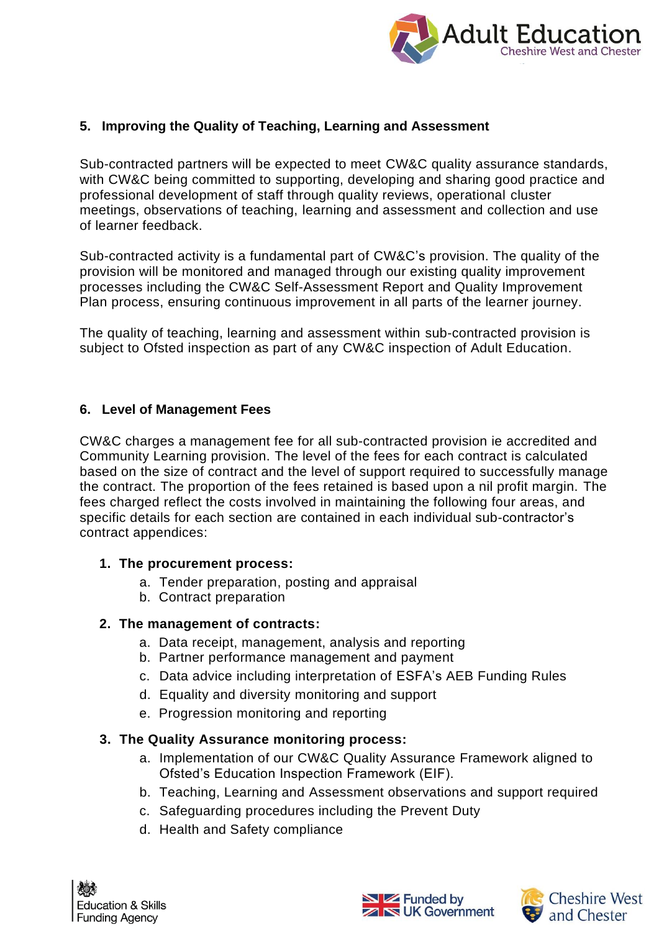

### **5. Improving the Quality of Teaching, Learning and Assessment**

Sub-contracted partners will be expected to meet CW&C quality assurance standards, with CW&C being committed to supporting, developing and sharing good practice and professional development of staff through quality reviews, operational cluster meetings, observations of teaching, learning and assessment and collection and use of learner feedback.

Sub-contracted activity is a fundamental part of CW&C's provision. The quality of the provision will be monitored and managed through our existing quality improvement processes including the CW&C Self-Assessment Report and Quality Improvement Plan process, ensuring continuous improvement in all parts of the learner journey.

The quality of teaching, learning and assessment within sub-contracted provision is subject to Ofsted inspection as part of any CW&C inspection of Adult Education.

#### **6. Level of Management Fees**

CW&C charges a management fee for all sub-contracted provision ie accredited and Community Learning provision. The level of the fees for each contract is calculated based on the size of contract and the level of support required to successfully manage the contract. The proportion of the fees retained is based upon a nil profit margin. The fees charged reflect the costs involved in maintaining the following four areas, and specific details for each section are contained in each individual sub-contractor's contract appendices:

### **1. The procurement process:**

- a. Tender preparation, posting and appraisal
- b. Contract preparation

### **2. The management of contracts:**

- a. Data receipt, management, analysis and reporting
- b. Partner performance management and payment
- c. Data advice including interpretation of ESFA's AEB Funding Rules
- d. Equality and diversity monitoring and support
- e. Progression monitoring and reporting

# **3. The Quality Assurance monitoring process:**

- a. Implementation of our CW&C Quality Assurance Framework aligned to Ofsted's Education Inspection Framework (EIF).
- b. Teaching, Learning and Assessment observations and support required
- c. Safeguarding procedures including the Prevent Duty
- d. Health and Safety compliance



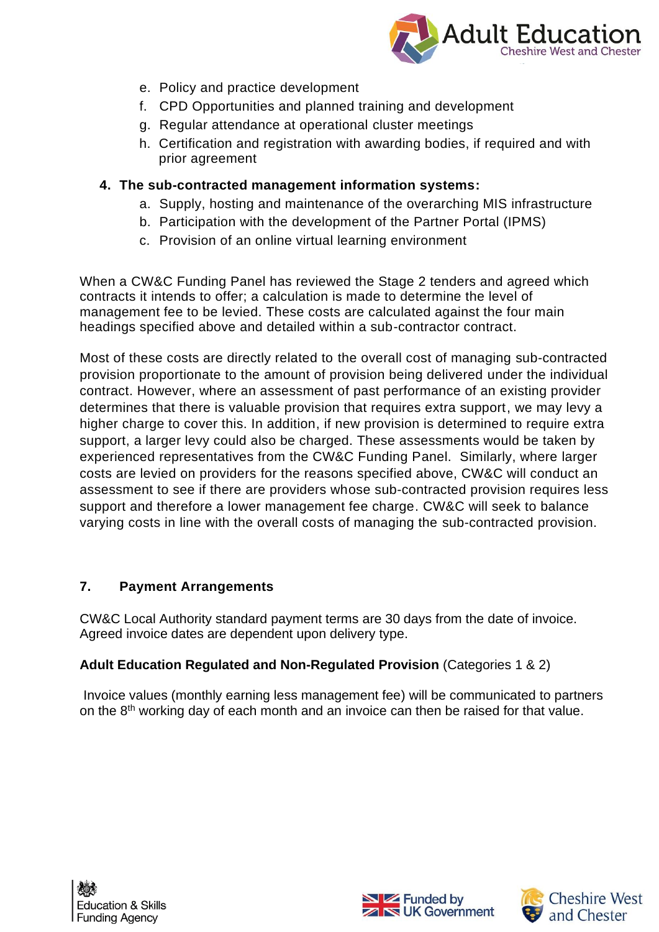

- e. Policy and practice development
- f. CPD Opportunities and planned training and development
- g. Regular attendance at operational cluster meetings
- h. Certification and registration with awarding bodies, if required and with prior agreement

### **4. The sub-contracted management information systems:**

- a. Supply, hosting and maintenance of the overarching MIS infrastructure
- b. Participation with the development of the Partner Portal (IPMS)
- c. Provision of an online virtual learning environment

When a CW&C Funding Panel has reviewed the Stage 2 tenders and agreed which contracts it intends to offer; a calculation is made to determine the level of management fee to be levied. These costs are calculated against the four main headings specified above and detailed within a sub-contractor contract.

Most of these costs are directly related to the overall cost of managing sub-contracted provision proportionate to the amount of provision being delivered under the individual contract. However, where an assessment of past performance of an existing provider determines that there is valuable provision that requires extra support, we may levy a higher charge to cover this. In addition, if new provision is determined to require extra support, a larger levy could also be charged. These assessments would be taken by experienced representatives from the CW&C Funding Panel. Similarly, where larger costs are levied on providers for the reasons specified above, CW&C will conduct an assessment to see if there are providers whose sub-contracted provision requires less support and therefore a lower management fee charge. CW&C will seek to balance varying costs in line with the overall costs of managing the sub-contracted provision.

# **7. Payment Arrangements**

CW&C Local Authority standard payment terms are 30 days from the date of invoice. Agreed invoice dates are dependent upon delivery type.

# **Adult Education Regulated and Non-Regulated Provision** (Categories 1 & 2)

Invoice values (monthly earning less management fee) will be communicated to partners on the 8<sup>th</sup> working day of each month and an invoice can then be raised for that value.





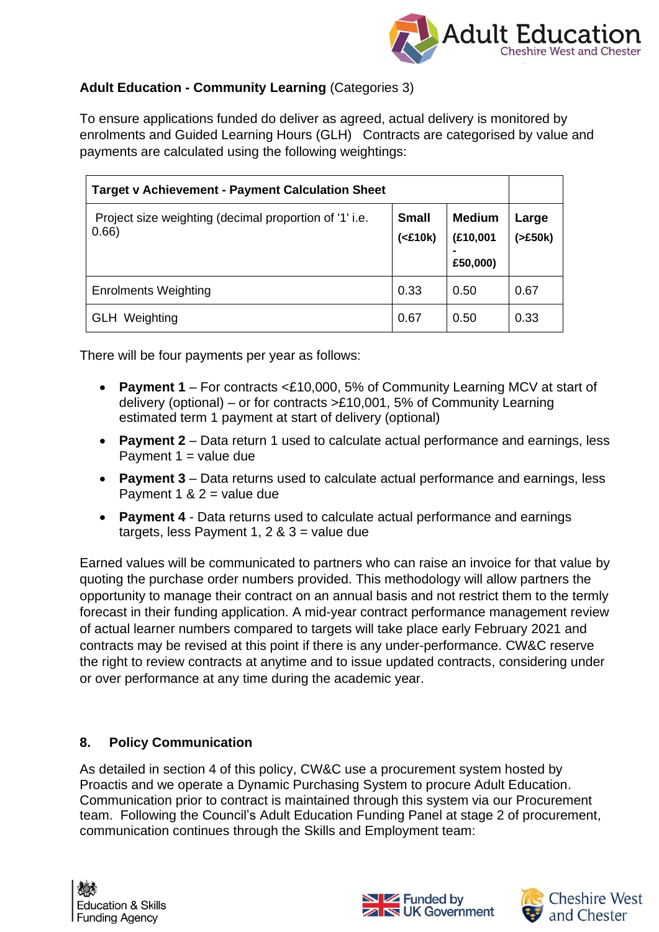

# **Adult Education - Community Learning** (Categories 3)

To ensure applications funded do deliver as agreed, actual delivery is monitored by enrolments and Guided Learning Hours (GLH) Contracts are categorised by value and payments are calculated using the following weightings:

| <b>Target v Achievement - Payment Calculation Sheet</b>        |                          |                                       |                  |
|----------------------------------------------------------------|--------------------------|---------------------------------------|------------------|
| Project size weighting (decimal proportion of '1' i.e.<br>0.66 | <b>Small</b><br>$(E10k)$ | <b>Medium</b><br>(£10,001<br>£50,000) | Large<br>(>£50k) |
| <b>Enrolments Weighting</b>                                    | 0.33                     | 0.50                                  | 0.67             |
| <b>GLH</b> Weighting                                           | 0.67                     | 0.50                                  | 0.33             |

There will be four payments per year as follows:

- **Payment 1** For contracts <£10,000, 5% of Community Learning MCV at start of delivery (optional) – or for contracts >£10,001, 5% of Community Learning estimated term 1 payment at start of delivery (optional)
- **Payment 2** Data return 1 used to calculate actual performance and earnings, less Payment  $1 =$  value due
- **Payment 3** Data returns used to calculate actual performance and earnings, less Payment 1 &  $2 =$  value due
- **Payment 4** Data returns used to calculate actual performance and earnings targets, less Payment 1,  $2 & 3 =$  value due

Earned values will be communicated to partners who can raise an invoice for that value by quoting the purchase order numbers provided. This methodology will allow partners the opportunity to manage their contract on an annual basis and not restrict them to the termly forecast in their funding application. A mid-year contract performance management review of actual learner numbers compared to targets will take place early February 2021 and contracts may be revised at this point if there is any under-performance. CW&C reserve the right to review contracts at anytime and to issue updated contracts, considering under or over performance at any time during the academic year.

### **8. Policy Communication**

As detailed in section 4 of this policy, CW&C use a procurement system hosted by Proactis and we operate a Dynamic Purchasing System to procure Adult Education. Communication prior to contract is maintained through this system via our Procurement team. Following the Council's Adult Education Funding Panel at stage 2 of procurement, communication continues through the Skills and Employment team: